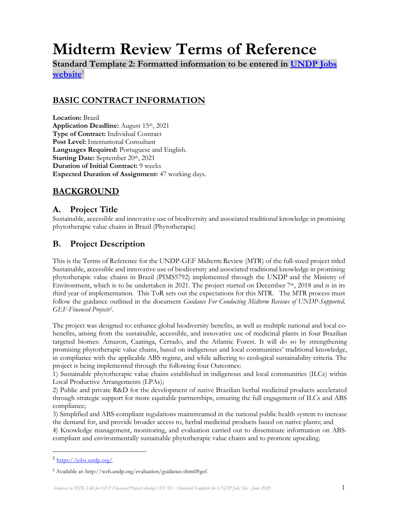# **Midterm Review Terms of Reference**

**Standard Template 2: Formatted information to be entered in [UNDP Jobs](https://jobs.undp.org/)  [website](https://jobs.undp.org/)**<sup>1</sup>

# **BASIC CONTRACT INFORMATION**

**Location:** Brazil **Application Deadline:** August 15th, 2021 **Type of Contract:** Individual Contract **Post Level:** International Consultant **Languages Required:** Portuguese and English. **Starting Date:** September 20th, 2021 **Duration of Initial Contract:** 9 weeks **Expected Duration of Assignment:** 47 working days.

# **BACKGROUND**

## **A. Project Title**

Sustainable, accessible and innovative use of biodiversity and associated traditional knowledge in promising phytotherapic value chains in Brazil (Phytotherapic)

## **B. Project Description**

This is the Terms of Reference for the UNDP-GEF Midterm Review (MTR) of the full-sized project titled Sustainable, accessible and innovative use of biodiversity and associated traditional knowledge in promising phytotherapic value chains in Brazil (PIMS5792) implemented through the UNDP and the Ministry of Environment, which is to be undertaken in 2021. The project started on December  $7<sup>th</sup>$ , 2018 and is in its third year of implementation. This ToR sets out the expectations for this MTR. The MTR process must follow the guidance outlined in the document *Guidance For Conducting Midterm Reviews of UNDP-Supported*, *GEF-Financed Projects<sup>2</sup>* .

The project was designed to: enhance global biodiversity benefits, as well as multiple national and local cobenefits, arising from the sustainable, accessible, and innovative use of medicinal plants in four Brazilian targeted biomes: Amazon, Caatinga, Cerrado, and the Atlantic Forest. It will do so by strengthening promising phytotherapic value chains, based on indigenous and local communities' traditional knowledge, in compliance with the applicable ABS regime, and while adhering to ecological sustainability criteria. The project is being implemented through the following four Outcomes:

1) Sustainable phytotherapic value chains established in indigenous and local communities (ILCs) within Local Productive Arrangements (LPAs);

2) Public and private R&D for the development of native Brazilian herbal medicinal products accelerated through strategic support for more equitable partnerships, ensuring the full engagement of ILCs and ABS compliance;

3) Simplified and ABS-compliant regulations mainstreamed in the national public health system to increase the demand for, and provide broader access to, herbal medicinal products based on native plants; and

4) Knowledge management, monitoring, and evaluation carried out to disseminate information on ABScompliant and environmentally sustainable phytotherapic value chains and to promote upscaling.

<sup>&</sup>lt;sup>1</sup> <https://jobs.undp.org/>

<sup>2</sup> Available at: http://web.undp.org/evaluation/guidance.shtml#gef.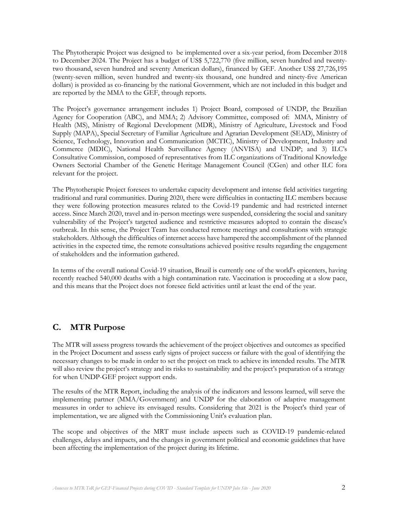The Phytotherapic Project was designed to be implemented over a six-year period, from December 2018 to December 2024. The Project has a budget of US\$ 5,722,770 (five million, seven hundred and twentytwo thousand, seven hundred and seventy American dollars), financed by GEF. Another US\$ 27,726,195 (twenty-seven million, seven hundred and twenty-six thousand, one hundred and ninety-five American dollars) is provided as co-financing by the national Government, which are not included in this budget and are reported by the MMA to the GEF, through reports.

The Project's governance arrangement includes 1) Project Board, composed of UNDP, the Brazilian Agency for Cooperation (ABC), and MMA; 2) Advisory Committee, composed of: MMA, Ministry of Health (MS), Ministry of Regional Development (MDR), Ministry of Agriculture, Livestock and Food Supply (MAPA), Special Secretary of Familiar Agriculture and Agrarian Development (SEAD), Ministry of Science, Technology, Innovation and Communication (MCTIC), Ministry of Development, Industry and Commerce (MDIC), National Health Surveillance Agency (ANVISA) and UNDP; and 3) ILC's Consultative Commission, composed of representatives from ILC organizations of Traditional Knowledge Owners Sectorial Chamber of the Genetic Heritage Management Council (CGen) and other ILC fora relevant for the project.

The Phytotherapic Project foresees to undertake capacity development and intense field activities targeting traditional and rural communities. During 2020, there were difficulties in contacting ILC members because they were following protection measures related to the Covid-19 pandemic and had restricted internet access. Since March 2020, travel and in-person meetings were suspended, considering the social and sanitary vulnerability of the Project's targeted audience and restrictive measures adopted to contain the disease's outbreak. In this sense, the Project Team has conducted remote meetings and consultations with strategic stakeholders. Although the difficulties of internet access have hampered the accomplishment of the planned activities in the expected time, the remote consultations achieved positive results regarding the engagement of stakeholders and the information gathered.

In terms of the overall national Covid-19 situation, Brazil is currently one of the world's epicenters, having recently reached 540,000 deaths with a high contamination rate. Vaccination is proceeding at a slow pace, and this means that the Project does not foresee field activities until at least the end of the year.

## **C. MTR Purpose**

The MTR will assess progress towards the achievement of the project objectives and outcomes as specified in the Project Document and assess early signs of project success or failure with the goal of identifying the necessary changes to be made in order to set the project on track to achieve its intended results. The MTR will also review the project's strategy and its risks to sustainability and the project's preparation of a strategy for when UNDP-GEF project support ends.

The results of the MTR Report, including the analysis of the indicators and lessons learned, will serve the implementing partner (MMA/Government) and UNDP for the elaboration of adaptive management measures in order to achieve its envisaged results. Considering that 2021 is the Project's third year of implementation, we are aligned with the Commissioning Unit's evaluation plan.

The scope and objectives of the MRT must include aspects such as COVID-19 pandemic-related challenges, delays and impacts, and the changes in government political and economic guidelines that have been affecting the implementation of the project during its lifetime.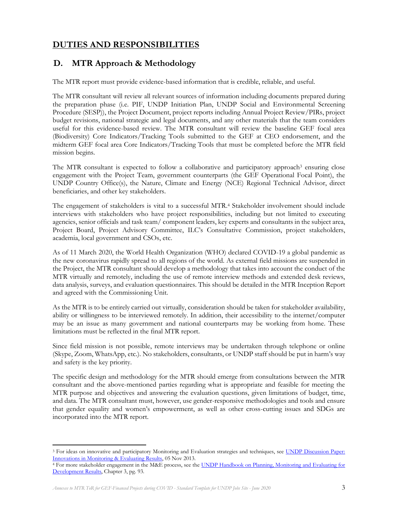# **DUTIES AND RESPONSIBILITIES**

## **D. MTR Approach & Methodology**

The MTR report must provide evidence-based information that is credible, reliable, and useful.

The MTR consultant will review all relevant sources of information including documents prepared during the preparation phase (i.e. PIF, UNDP Initiation Plan, UNDP Social and Environmental Screening Procedure (SESP)), the Project Document, project reports including Annual Project Review/PIRs, project budget revisions, national strategic and legal documents, and any other materials that the team considers useful for this evidence-based review. The MTR consultant will review the baseline GEF focal area (Biodiversity) Core Indicators/Tracking Tools submitted to the GEF at CEO endorsement, and the midterm GEF focal area Core Indicators/Tracking Tools that must be completed before the MTR field mission begins.

The MTR consultant is expected to follow a collaborative and participatory approach<sup>3</sup> ensuring close engagement with the Project Team, government counterparts (the GEF Operational Focal Point), the UNDP Country Office(s), the Nature, Climate and Energy (NCE) Regional Technical Advisor, direct beneficiaries, and other key stakeholders.

The engagement of stakeholders is vital to a successful MTR.<sup>4</sup> Stakeholder involvement should include interviews with stakeholders who have project responsibilities, including but not limited to executing agencies, senior officials and task team/ component leaders, key experts and consultants in the subject area, Project Board, Project Advisory Committee, ILC's Consultative Commission, project stakeholders, academia, local government and CSOs, etc.

As of 11 March 2020, the World Health Organization (WHO) declared COVID-19 a global pandemic as the new coronavirus rapidly spread to all regions of the world. As external field missions are suspended in the Project, the MTR consultant should develop a methodology that takes into account the conduct of the MTR virtually and remotely, including the use of remote interview methods and extended desk reviews, data analysis, surveys, and evaluation questionnaires. This should be detailed in the MTR Inception Report and agreed with the Commissioning Unit.

As the MTR is to be entirely carried out virtually, consideration should be taken for stakeholder availability, ability or willingness to be interviewed remotely. In addition, their accessibility to the internet/computer may be an issue as many government and national counterparts may be working from home. These limitations must be reflected in the final MTR report.

Since field mission is not possible, remote interviews may be undertaken through telephone or online (Skype, Zoom, WhatsApp, etc.). No stakeholders, consultants, or UNDP staff should be put in harm's way and safety is the key priority.

The specific design and methodology for the MTR should emerge from consultations between the MTR consultant and the above-mentioned parties regarding what is appropriate and feasible for meeting the MTR purpose and objectives and answering the evaluation questions, given limitations of budget, time, and data. The MTR consultant must, however, use gender-responsive methodologies and tools and ensure that gender equality and women's empowerment, as well as other cross-cutting issues and SDGs are incorporated into the MTR report.

<sup>&</sup>lt;sup>3</sup> For ideas on innovative and participatory Monitoring and Evaluation strategies and techniques, see UNDP Discussion Paper: [Innovations in Monitoring & Evaluating Results,](http://www.undp.org/content/undp/en/home/librarypage/capacity-building/discussion-paper--innovations-in-monitoring---evaluating-results/) 05 Nov 2013.

<sup>4</sup> For more stakeholder engagement in the M&E process, see the [UNDP Handbook on Planning, Monitoring and Evaluating for](http://www.undg.org/docs/11653/UNDP-PME-Handbook-(2009).pdf)  [Development Results,](http://www.undg.org/docs/11653/UNDP-PME-Handbook-(2009).pdf) Chapter 3, pg. 93.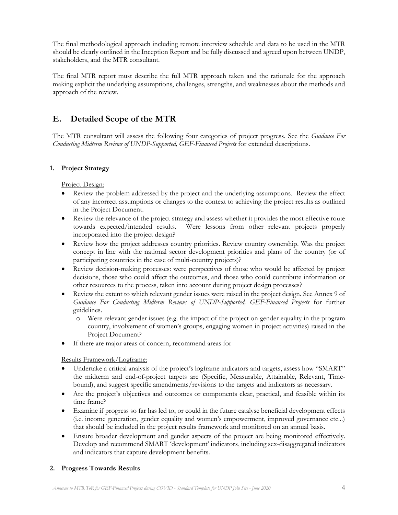The final methodological approach including remote interview schedule and data to be used in the MTR should be clearly outlined in the Inception Report and be fully discussed and agreed upon between UNDP, stakeholders, and the MTR consultant.

The final MTR report must describe the full MTR approach taken and the rationale for the approach making explicit the underlying assumptions, challenges, strengths, and weaknesses about the methods and approach of the review.

# **E. Detailed Scope of the MTR**

The MTR consultant will assess the following four categories of project progress. See the *Guidance For Conducting Midterm Reviews of UNDP-Supported, GEF-Financed Projects* for extended descriptions.

## **1. Project Strategy**

#### Project Design:

- Review the problem addressed by the project and the underlying assumptions. Review the effect of any incorrect assumptions or changes to the context to achieving the project results as outlined in the Project Document.
- Review the relevance of the project strategy and assess whether it provides the most effective route towards expected/intended results. Were lessons from other relevant projects properly incorporated into the project design?
- Review how the project addresses country priorities. Review country ownership. Was the project concept in line with the national sector development priorities and plans of the country (or of participating countries in the case of multi-country projects)?
- Review decision-making processes: were perspectives of those who would be affected by project decisions, those who could affect the outcomes, and those who could contribute information or other resources to the process, taken into account during project design processes?
- Review the extent to which relevant gender issues were raised in the project design. See Annex 9 of *Guidance For Conducting Midterm Reviews of UNDP-Supported, GEF-Financed Projects* for further guidelines.
	- o Were relevant gender issues (e.g. the impact of the project on gender equality in the program country, involvement of women's groups, engaging women in project activities) raised in the Project Document?
- If there are major areas of concern, recommend areas for

## Results Framework/Logframe:

- Undertake a critical analysis of the project's logframe indicators and targets, assess how "SMART" the midterm and end-of-project targets are (Specific, Measurable, Attainable, Relevant, Timebound), and suggest specific amendments/revisions to the targets and indicators as necessary.
- Are the project's objectives and outcomes or components clear, practical, and feasible within its time frame?
- Examine if progress so far has led to, or could in the future catalyse beneficial development effects (i.e. income generation, gender equality and women's empowerment, improved governance etc...) that should be included in the project results framework and monitored on an annual basis.
- Ensure broader development and gender aspects of the project are being monitored effectively. Develop and recommend SMART 'development' indicators, including sex-disaggregated indicators and indicators that capture development benefits.

## **2. Progress Towards Results**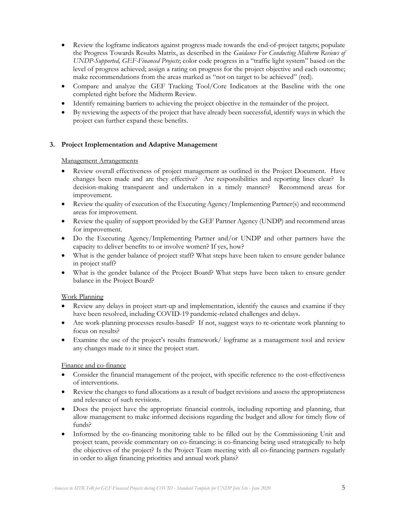- Review the logframe indicators against progress made towards the end-of-project targets; populate the Progress Towards Results Matrix, as described in the *Guidance For Conducting Midterm Reviews of UNDP-Supported, GEF-Financed Projects*; color code progress in a "traffic light system" based on the level of progress achieved; assign a rating on progress for the project objective and each outcome; make recommendations from the areas marked as "not on target to be achieved" (red).
- Compare and analyze the GEF Tracking Tool/Core Indicators at the Baseline with the one completed right before the Midterm Review.
- Identify remaining barriers to achieving the project objective in the remainder of the project.
- By reviewing the aspects of the project that have already been successful, identify ways in which the project can further expand these benefits.

### **3. Project Implementation and Adaptive Management**

#### Management Arrangements

- Review overall effectiveness of project management as outlined in the Project Document. Have changes been made and are they effective? Are responsibilities and reporting lines clear? Is decision-making transparent and undertaken in a timely manner? Recommend areas for improvement.
- Review the quality of execution of the Executing Agency/Implementing Partner(s) and recommend areas for improvement.
- Review the quality of support provided by the GEF Partner Agency (UNDP) and recommend areas for improvement.
- Do the Executing Agency/Implementing Partner and/or UNDP and other partners have the capacity to deliver benefits to or involve women? If yes, how?
- What is the gender balance of project staff? What steps have been taken to ensure gender balance in project staff?
- What is the gender balance of the Project Board? What steps have been taken to ensure gender balance in the Project Board?

#### Work Planning

- Review any delays in project start-up and implementation, identify the causes and examine if they have been resolved, including COVID-19 pandemic-related challenges and delays.
- Are work-planning processes results-based? If not, suggest ways to re-orientate work planning to focus on results?
- Examine the use of the project's results framework/ logframe as a management tool and review any changes made to it since the project start.

#### Finance and co-finance

- Consider the financial management of the project, with specific reference to the cost-effectiveness of interventions.
- Review the changes to fund allocations as a result of budget revisions and assess the appropriateness and relevance of such revisions.
- Does the project have the appropriate financial controls, including reporting and planning, that allow management to make informed decisions regarding the budget and allow for timely flow of funds?
- Informed by the co-financing monitoring table to be filled out by the Commissioning Unit and project team, provide commentary on co-financing: is co-financing being used strategically to help the objectives of the project? Is the Project Team meeting with all co-financing partners regularly in order to align financing priorities and annual work plans?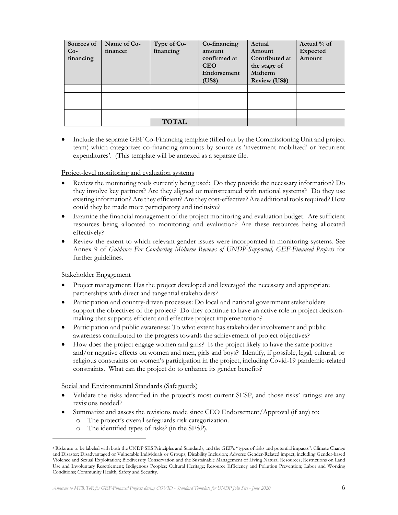| Sources of<br>$Co-$<br>financing | Name of Co-<br>financer | Type of Co-<br>financing | Co-financing<br>amount<br>confirmed at<br><b>CEO</b><br>Endorsement<br>(US\$) | Actual<br>Amount<br>Contributed at<br>the stage of<br>Midterm<br><b>Review (US\$)</b> | Actual % of<br><b>Expected</b><br>Amount |
|----------------------------------|-------------------------|--------------------------|-------------------------------------------------------------------------------|---------------------------------------------------------------------------------------|------------------------------------------|
|                                  |                         |                          |                                                                               |                                                                                       |                                          |
|                                  |                         |                          |                                                                               |                                                                                       |                                          |
|                                  |                         |                          |                                                                               |                                                                                       |                                          |
|                                  |                         |                          |                                                                               |                                                                                       |                                          |
|                                  |                         | <b>TOTAL</b>             |                                                                               |                                                                                       |                                          |

• Include the separate GEF Co-Financing template (filled out by the Commissioning Unit and project team) which categorizes co-financing amounts by source as 'investment mobilized' or 'recurrent expenditures'. (This template will be annexed as a separate file.

#### Project-level monitoring and evaluation systems

- Review the monitoring tools currently being used: Do they provide the necessary information? Do they involve key partners? Are they aligned or mainstreamed with national systems? Do they use existing information? Are they efficient? Are they cost-effective? Are additional tools required? How could they be made more participatory and inclusive?
- Examine the financial management of the project monitoring and evaluation budget. Are sufficient resources being allocated to monitoring and evaluation? Are these resources being allocated effectively?
- Review the extent to which relevant gender issues were incorporated in monitoring systems. See Annex 9 of *Guidance For Conducting Midterm Reviews of UNDP-Supported, GEF-Financed Projects* for further guidelines.

#### Stakeholder Engagement

- Project management: Has the project developed and leveraged the necessary and appropriate partnerships with direct and tangential stakeholders?
- Participation and country-driven processes: Do local and national government stakeholders support the objectives of the project? Do they continue to have an active role in project decisionmaking that supports efficient and effective project implementation?
- Participation and public awareness: To what extent has stakeholder involvement and public awareness contributed to the progress towards the achievement of project objectives?
- How does the project engage women and girls? Is the project likely to have the same positive and/or negative effects on women and men, girls and boys? Identify, if possible, legal, cultural, or religious constraints on women's participation in the project, including Covid-19 pandemic-related constraints. What can the project do to enhance its gender benefits?

Social and Environmental Standards (Safeguards)

- Validate the risks identified in the project's most current SESP, and those risks' ratings; are any revisions needed?
- Summarize and assess the revisions made since CEO Endorsement/Approval (if any) to:
	- o The project's overall safeguards risk categorization.
	- o The identified types of risks<sup>5</sup> (in the SESP).

*Annexes to MTR ToR for GEF-Financed Projects during COVID - Standard Template for UNDP Jobs Site - June 2020* 6

<sup>&</sup>lt;sup>5</sup> Risks are to be labeled with both the UNDP SES Principles and Standards, and the GEF's "types of risks and potential impacts": Climate Change and Disaster; Disadvantaged or Vulnerable Individuals or Groups; Disability Inclusion; Adverse Gender-Related impact, including Gender-based Violence and Sexual Exploitation; Biodiversity Conservation and the Sustainable Management of Living Natural Resources; Restrictions on Land Use and Involuntary Resettlement; Indigenous Peoples; Cultural Heritage; Resource Efficiency and Pollution Prevention; Labor and Working Conditions; Community Health, Safety and Security.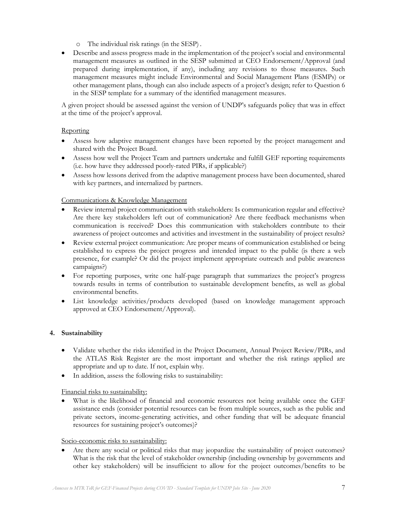o The individual risk ratings (in the SESP) .

• Describe and assess progress made in the implementation of the project's social and environmental management measures as outlined in the SESP submitted at CEO Endorsement/Approval (and prepared during implementation, if any), including any revisions to those measures. Such management measures might include Environmental and Social Management Plans (ESMPs) or other management plans, though can also include aspects of a project's design; refer to Question 6 in the SESP template for a summary of the identified management measures.

A given project should be assessed against the version of UNDP's safeguards policy that was in effect at the time of the project's approval.

### Reporting

- Assess how adaptive management changes have been reported by the project management and shared with the Project Board.
- Assess how well the Project Team and partners undertake and fulfill GEF reporting requirements (i.e. how have they addressed poorly-rated PIRs, if applicable?)
- Assess how lessons derived from the adaptive management process have been documented, shared with key partners, and internalized by partners.

Communications & Knowledge Management

- Review internal project communication with stakeholders: Is communication regular and effective? Are there key stakeholders left out of communication? Are there feedback mechanisms when communication is received? Does this communication with stakeholders contribute to their awareness of project outcomes and activities and investment in the sustainability of project results?
- Review external project communication: Are proper means of communication established or being established to express the project progress and intended impact to the public (is there a web presence, for example? Or did the project implement appropriate outreach and public awareness campaigns?)
- For reporting purposes, write one half-page paragraph that summarizes the project's progress towards results in terms of contribution to sustainable development benefits, as well as global environmental benefits.
- List knowledge activities/products developed (based on knowledge management approach approved at CEO Endorsement/Approval).

#### **4. Sustainability**

- Validate whether the risks identified in the Project Document, Annual Project Review/PIRs, and the ATLAS Risk Register are the most important and whether the risk ratings applied are appropriate and up to date. If not, explain why.
- In addition, assess the following risks to sustainability:

Financial risks to sustainability:

What is the likelihood of financial and economic resources not being available once the GEF assistance ends (consider potential resources can be from multiple sources, such as the public and private sectors, income-generating activities, and other funding that will be adequate financial resources for sustaining project's outcomes)?

#### Socio-economic risks to sustainability:

Are there any social or political risks that may jeopardize the sustainability of project outcomes? What is the risk that the level of stakeholder ownership (including ownership by governments and other key stakeholders) will be insufficient to allow for the project outcomes/benefits to be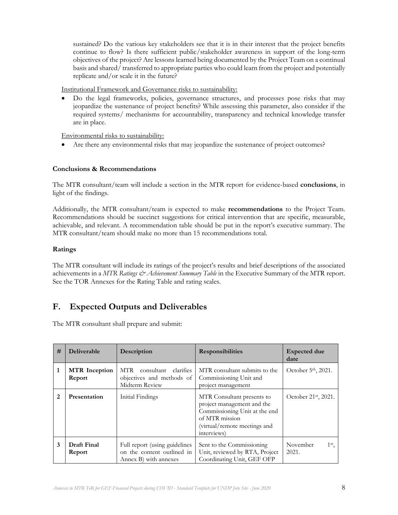sustained? Do the various key stakeholders see that it is in their interest that the project benefits continue to flow? Is there sufficient public/stakeholder awareness in support of the long-term objectives of the project? Are lessons learned being documented by the Project Team on a continual basis and shared/ transferred to appropriate parties who could learn from the project and potentially replicate and/or scale it in the future?

Institutional Framework and Governance risks to sustainability:

• Do the legal frameworks, policies, governance structures, and processes pose risks that may jeopardize the sustenance of project benefits? While assessing this parameter, also consider if the required systems/ mechanisms for accountability, transparency and technical knowledge transfer are in place.

Environmental risks to sustainability:

• Are there any environmental risks that may jeopardize the sustenance of project outcomes?

#### **Conclusions & Recommendations**

The MTR consultant/team will include a section in the MTR report for evidence-based **conclusions**, in light of the findings.

Additionally, the MTR consultant/team is expected to make **recommendations** to the Project Team. Recommendations should be succinct suggestions for critical intervention that are specific, measurable, achievable, and relevant. A recommendation table should be put in the report's executive summary. The MTR consultant/team should make no more than 15 recommendations total.

#### **Ratings**

The MTR consultant will include its ratings of the project's results and brief descriptions of the associated achievements in a *MTR Ratings & Achievement Summary Table* in the Executive Summary of the MTR report. See the TOR Annexes for the Rating Table and rating scales.

## **F. Expected Outputs and Deliverables**

The MTR consultant shall prepare and submit:

| # | Deliverable                    | Description                                                                          | <b>Responsibilities</b>                                                                                                                                    | <b>Expected due</b><br>date          |
|---|--------------------------------|--------------------------------------------------------------------------------------|------------------------------------------------------------------------------------------------------------------------------------------------------------|--------------------------------------|
| 1 | <b>MTR</b> Inception<br>Report | consultant clarifies<br>MTR<br>objectives and methods of<br>Midterm Review           | MTR consultant submits to the<br>Commissioning Unit and<br>project management                                                                              | October 5 <sup>th</sup> , 2021.      |
| 2 | Presentation                   | Initial Findings                                                                     | MTR Consultant presents to<br>project management and the<br>Commissioning Unit at the end<br>of MTR mission<br>(virtual/remote meetings and<br>interviews) | October 21 <sup>st</sup> , 2021.     |
| 3 | Draft Final<br>Report          | Full report (using guidelines<br>on the content outlined in<br>Annex B) with annexes | Sent to the Commissioning<br>Unit, reviewed by RTA, Project<br>Coordinating Unit, GEF OFP                                                                  | November<br>1 <sup>st</sup><br>2021. |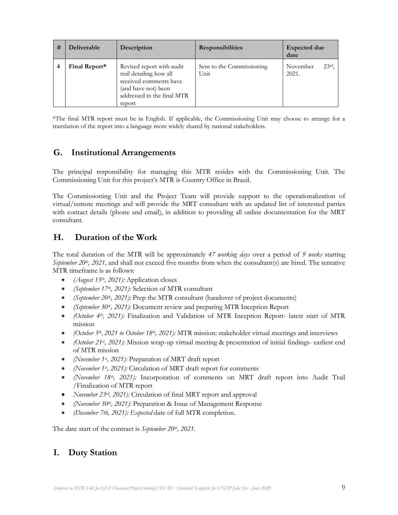| # | <b>Deliverable</b> | Description                                                                                                                                   | <b>Responsibilities</b>           | <b>Expected due</b><br>date           |
|---|--------------------|-----------------------------------------------------------------------------------------------------------------------------------------------|-----------------------------------|---------------------------------------|
|   | Final Report*      | Revised report with audit<br>trail detailing how all<br>received comments have<br>(and have not) been<br>addressed in the final MTR<br>report | Sent to the Commissioning<br>Unit | 23 <sup>rd</sup><br>November<br>2021. |

\*The final MTR report must be in English. If applicable, the Commissioning Unit may choose to arrange for a translation of the report into a language more widely shared by national stakeholders.

## **G. Institutional Arrangements**

The principal responsibility for managing this MTR resides with the Commissioning Unit. The Commissioning Unit for this project's MTR is Country Office in Brazil.

The Commissioning Unit and the Project Team will provide support to the operationalization of virtual/remote meetings and will provide the MRT consultant with an updated list of interested parties with contact details (phone and email), in addition to providing all online documentation for the MRT consultant.

## **H. Duration of the Work**

The total duration of the MTR will be approximately *47 working days* over a period of *9 weeks* starting *September 20th, 2021,* and shall not exceed five months from when the consultant(s) are hired. The tentative MTR timeframe is as follows:

- *(August 15th, 2021):* Application closes
- *(September 17th, 2021):* Selection of MTR consultant
- *(September 20th, 2021):* Prep the MTR consultant (handover of project documents)
- *(September 30th, 2021):* Document review and preparing MTR Inception Report
- *(October 4th, 2021):* Finalization and Validation of MTR Inception Report- latest start of MTR mission
- *(October 5th , 2021 to October 18th, 2021):* MTR mission: stakeholder virtual meetings and interviews
- *(October 21st, 2021):* Mission wrap-up virtual meeting & presentation of initial findings- earliest end of MTR mission
- *(November 1st, 2021):* Preparation of MRT draft report
- *(November 1st, 2021):* Circulation of MRT draft report for comments
- *(November 18th, 2021):* Incorporation of comments on MRT draft report into Audit Trail /Finalization of MTR report
- *November 23rd, 2021):* Circulation of final MRT report and approval
- *(November 30th , 2021):* Preparation & Issue of Management Response
- *(December 7th, 2021): Expected* date of full MTR completion.

The date start of the contract is *September 20th, 2021*.

# **I. Duty Station**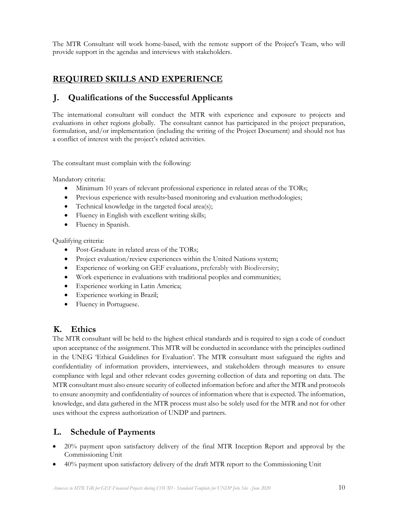The MTR Consultant will work home-based, with the remote support of the Project's Team, who will provide support in the agendas and interviews with stakeholders.

## **REQUIRED SKILLS AND EXPERIENCE**

## **J. Qualifications of the Successful Applicants**

The international consultant will conduct the MTR with experience and exposure to projects and evaluations in other regions globally. The consultant cannot has participated in the project preparation, formulation, and/or implementation (including the writing of the Project Document) and should not has a conflict of interest with the project's related activities.

The consultant must complain with the following:

Mandatory criteria:

- Minimum 10 years of relevant professional experience in related areas of the TORs;
- Previous experience with results-based monitoring and evaluation methodologies;
- Technical knowledge in the targeted focal area(s);
- Fluency in English with excellent writing skills;
- Fluency in Spanish.

Qualifying criteria:

- Post-Graduate in related areas of the TORs;
- Project evaluation/review experiences within the United Nations system;
- Experience of working on GEF evaluations, preferably with Biodiversity;
- Work experience in evaluations with traditional peoples and communities;
- Experience working in Latin America;
- Experience working in Brazil;
- Fluency in Portuguese.

## **K. Ethics**

The MTR consultant will be held to the highest ethical standards and is required to sign a code of conduct upon acceptance of the assignment. This MTR will be conducted in accordance with the principles outlined in the UNEG 'Ethical Guidelines for Evaluation'. The MTR consultant must safeguard the rights and confidentiality of information providers, interviewees, and stakeholders through measures to ensure compliance with legal and other relevant codes governing collection of data and reporting on data. The MTR consultant must also ensure security of collected information before and after the MTR and protocols to ensure anonymity and confidentiality of sources of information where that is expected. The information, knowledge, and data gathered in the MTR process must also be solely used for the MTR and not for other uses without the express authorization of UNDP and partners.

## **L. Schedule of Payments**

- 20% payment upon satisfactory delivery of the final MTR Inception Report and approval by the Commissioning Unit
- 40% payment upon satisfactory delivery of the draft MTR report to the Commissioning Unit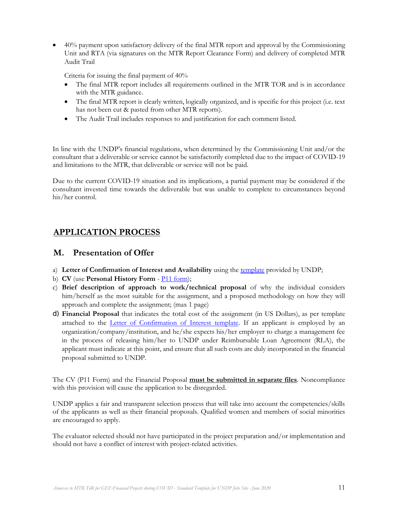• 40% payment upon satisfactory delivery of the final MTR report and approval by the Commissioning Unit and RTA (via signatures on the MTR Report Clearance Form) and delivery of completed MTR Audit Trail

Criteria for issuing the final payment of 40%

- The final MTR report includes all requirements outlined in the MTR TOR and is in accordance with the MTR guidance.
- The final MTR report is clearly written, logically organized, and is specific for this project (i.e. text has not been cut & pasted from other MTR reports).
- The Audit Trail includes responses to and justification for each comment listed.

In line with the UNDP's financial regulations, when determined by the Commissioning Unit and/or the consultant that a deliverable or service cannot be satisfactorily completed due to the impact of COVID-19 and limitations to the MTR, that deliverable or service will not be paid.

Due to the current COVID-19 situation and its implications, a partial payment may be considered if the consultant invested time towards the deliverable but was unable to complete to circumstances beyond his/her control.

## **APPLICATION PROCESS**

## **M. Presentation of Offer**

- a) **Letter of Confirmation of Interest and Availability** using the [template](https://intranet.undp.org/unit/bom/pso/Support%20documents%20on%20IC%20Guidelines/Template%20for%20Confirmation%20of%20Interest%20and%20Submission%20of%20Financial%20Proposal.docx) provided by UNDP;
- b) **CV** (use **Personal History Form** [P11 form\)](http://www.undp.org/content/dam/undp/library/corporate/Careers/P11_Personal_history_form.doc);
- c) **Brief description of approach to work/technical proposal** of why the individual considers him/herself as the most suitable for the assignment, and a proposed methodology on how they will approach and complete the assignment; (max 1 page)
- d) **Financial Proposal** that indicates the total cost of the assignment (in US Dollars), as per template attached to the *Letter of Confirmation of Interest template*. If an applicant is employed by an organization/company/institution, and he/she expects his/her employer to charge a management fee in the process of releasing him/her to UNDP under Reimbursable Loan Agreement (RLA), the applicant must indicate at this point, and ensure that all such costs are duly incorporated in the financial proposal submitted to UNDP.

The CV (P11 Form) and the Financial Proposal **must be submitted in separate files**. Noncompliance with this provision will cause the application to be disregarded.

UNDP applies a fair and transparent selection process that will take into account the competencies/skills of the applicants as well as their financial proposals. Qualified women and members of social minorities are encouraged to apply.

The evaluator selected should not have participated in the project preparation and/or implementation and should not have a conflict of interest with project-related activities.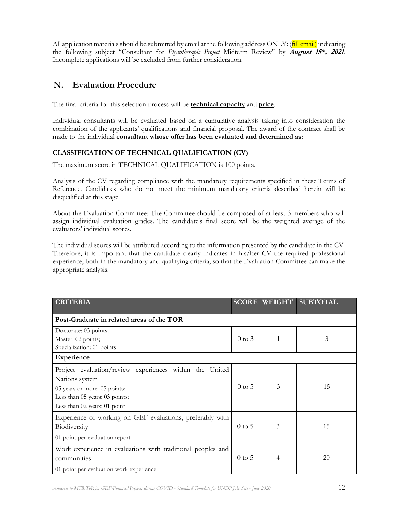All application materials should be submitted by email at the following address ONLY: (**fill email**) indicating the following subject "Consultant for *Phytotherapic Project* Midterm Review" by **August 15th, <sup>2021</sup>**. Incomplete applications will be excluded from further consideration.

## **N. Evaluation Procedure**

The final criteria for this selection process will be **technical capacity** and **price**.

Individual consultants will be evaluated based on a cumulative analysis taking into consideration the combination of the applicants' qualifications and financial proposal. The award of the contract shall be made to the individual **consultant whose offer has been evaluated and determined as:**

## **CLASSIFICATION OF TECHNICAL QUALIFICATION (CV)**

The maximum score in TECHNICAL QUALIFICATION is 100 points.

Analysis of the CV regarding compliance with the mandatory requirements specified in these Terms of Reference. Candidates who do not meet the minimum mandatory criteria described herein will be disqualified at this stage.

About the Evaluation Committee: The Committee should be composed of at least 3 members who will assign individual evaluation grades. The candidate's final score will be the weighted average of the evaluators' individual scores.

The individual scores will be attributed according to the information presented by the candidate in the CV. Therefore, it is important that the candidate clearly indicates in his/her CV the required professional experience, both in the mandatory and qualifying criteria, so that the Evaluation Committee can make the appropriate analysis.

| <b>CRITERIA</b>                                                                                                                                                                | <b>SCORE</b> | <b>WEIGHT</b> | <b>SUBTOTAL</b> |
|--------------------------------------------------------------------------------------------------------------------------------------------------------------------------------|--------------|---------------|-----------------|
| Post-Graduate in related areas of the TOR                                                                                                                                      |              |               |                 |
| Doctorate: 03 points;<br>Master: 02 points;<br>Specialization: 01 points                                                                                                       | $0$ to $3$   | 1             | 3               |
| Experience                                                                                                                                                                     |              |               |                 |
| Project evaluation/review experiences within the<br>United<br>Nations system<br>05 years or more: 05 points;<br>Less than 05 years: 03 points;<br>Less than 02 years: 01 point | $0$ to $5$   | 3             | 15              |
| Experience of working on GEF evaluations, preferably with<br>Biodiversity<br>01 point per evaluation report                                                                    |              | 3             | 15              |
| Work experience in evaluations with traditional peoples and<br>communities<br>01 point per evaluation work experience                                                          | $0$ to 5     | 4             | 20              |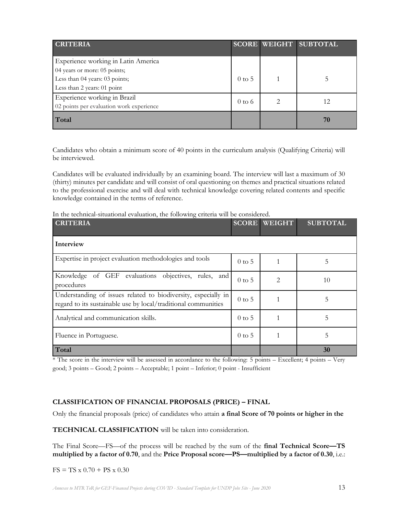| <b>CRITERIA</b>                                                          |                   |   | <b>SCORE WEIGHT SUBTOTAL</b> |
|--------------------------------------------------------------------------|-------------------|---|------------------------------|
| Experience working in Latin America<br>04 years or more: 05 points;      |                   |   |                              |
| Less than 04 years: 03 points;<br>Less than 2 years: 01 point            | $0 \text{ to } 5$ |   |                              |
| Experience working in Brazil<br>02 points per evaluation work experience |                   | 2 | 12                           |
| Total                                                                    |                   |   | 70                           |

Candidates who obtain a minimum score of 40 points in the curriculum analysis (Qualifying Criteria) will be interviewed.

Candidates will be evaluated individually by an examining board. The interview will last a maximum of 30 (thirty) minutes per candidate and will consist of oral questioning on themes and practical situations related to the professional exercise and will deal with technical knowledge covering related contents and specific knowledge contained in the terms of reference.

In the technical-situational evaluation, the following criteria will be considered.

| <b>CRITERIA</b>                                                                                                                  | <b>SCORE</b> | <b>WEIGHT</b> | <b>SUBTOTAL</b> |
|----------------------------------------------------------------------------------------------------------------------------------|--------------|---------------|-----------------|
| Interview                                                                                                                        |              |               |                 |
| Expertise in project evaluation methodologies and tools                                                                          | $0$ to 5     |               | 5               |
| Knowledge of GEF evaluations objectives, rules, and<br>procedures                                                                | $0$ to 5     | 2             | 10              |
| Understanding of issues related to biodiversity, especially in<br>regard to its sustainable use by local/traditional communities |              |               | 5               |
| Analytical and communication skills.                                                                                             |              |               | 5               |
| Fluence in Portuguese.                                                                                                           | $0$ to 5     |               | 5               |
| Total                                                                                                                            |              |               | 30              |

\* The score in the interview will be assessed in accordance to the following: 5 points – Excellent; 4 points – Very good; 3 points – Good; 2 points – Acceptable; 1 point – Inferior; 0 point - Insufficient

#### **CLASSIFICATION OF FINANCIAL PROPOSALS (PRICE) – FINAL**

Only the financial proposals (price) of candidates who attain **a final Score of 70 points or higher in the** 

**TECHNICAL CLASSIFICATION** will be taken into consideration.

The Final Score—FS—of the process will be reached by the sum of the **final Technical Score—TS multiplied by a factor of 0.70**, and the **Price Proposal score—PS—multiplied by a factor of 0.30**, i.e.:

 $FS = TS \times 0.70 + PS \times 0.30$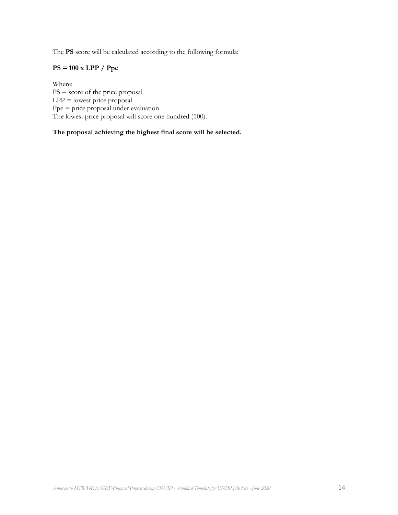The **PS** score will be calculated according to the following formula:

## **PS = 100 x LPP / Ppe**

Where: PS = score of the price proposal  $LPP =$  lowest price proposal  $Ppe = price$  price proposal under evaluation The lowest price proposal will score one hundred (100).

**The proposal achieving the highest final score will be selected.**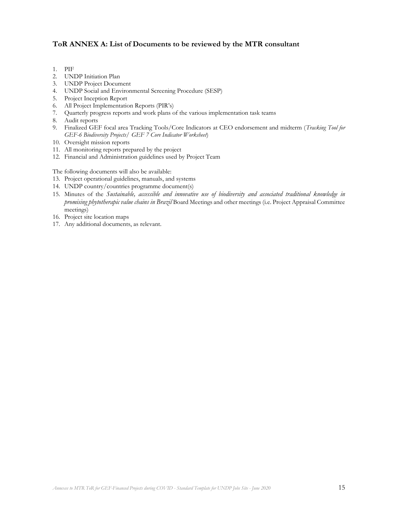### **ToR ANNEX A: List of Documents to be reviewed by the MTR consultant**

- 1. PIF
- 2. UNDP Initiation Plan
- 3. UNDP Project Document
- 4. UNDP Social and Environmental Screening Procedure (SESP)
- 5. Project Inception Report
- 6. All Project Implementation Reports (PIR's)
- 7. Quarterly progress reports and work plans of the various implementation task teams
- 8. Audit reports
- 9. Finalized GEF focal area Tracking Tools/Core Indicators at CEO endorsement and midterm (*Tracking Tool for GEF-6 Biodiversity Projects/ GEF 7 Core Indicator Worksheet*)
- 10. Oversight mission reports
- 11. All monitoring reports prepared by the project
- 12. Financial and Administration guidelines used by Project Team

The following documents will also be available:

- 13. Project operational guidelines, manuals, and systems
- 14. UNDP country/countries programme document(s)
- 15. Minutes of the *Sustainable, accessible and innovative use of biodiversity and associated traditional knowledge in promising phytotherapic value chains in Brazil* Board Meetings and other meetings (i.e. Project Appraisal Committee meetings)
- 16. Project site location maps
- 17. Any additional documents, as relevant.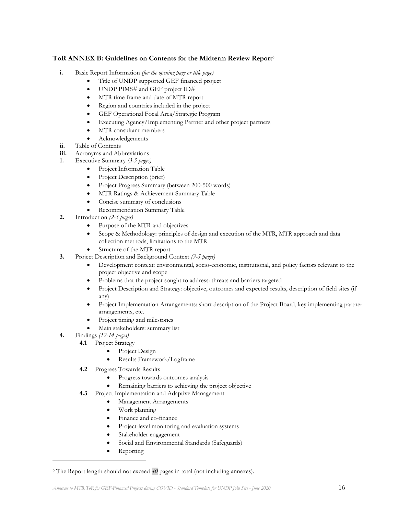#### **ToR ANNEX B: Guidelines on Contents for the Midterm Review Report**<sup>6</sup>

- **i.** Basic Report Information *(for the opening page or title page)*
	- Title of UNDP supported GEF financed project
	- UNDP PIMS# and GEF project ID#
	- MTR time frame and date of MTR report
	- Region and countries included in the project
	- GEF Operational Focal Area/Strategic Program
	- Executing Agency/Implementing Partner and other project partners
	- MTR consultant members
	- Acknowledgements
- **ii.** Table of Contents
- **iii.** Acronyms and Abbreviations
- **1.** Executive Summary *(3-5 pages)*
	- Project Information Table
	- Project Description (brief)
	- Project Progress Summary (between 200-500 words)
	- MTR Ratings & Achievement Summary Table
	- Concise summary of conclusions
	- Recommendation Summary Table
- **2.** Introduction *(2-3 pages)*
	- Purpose of the MTR and objectives
	- Scope & Methodology: principles of design and execution of the MTR, MTR approach and data collection methods, limitations to the MTR
	- Structure of the MTR report
- **3.** Project Description and Background Context *(3-5 pages)*
	- Development context: environmental, socio-economic, institutional, and policy factors relevant to the project objective and scope
	- Problems that the project sought to address: threats and barriers targeted
	- Project Description and Strategy: objective, outcomes and expected results, description of field sites (if any)
	- Project Implementation Arrangements: short description of the Project Board, key implementing partner arrangements, etc.
	- Project timing and milestones
	- Main stakeholders: summary list
- **4.** Findings *(12-14 pages)*
	- **4.1** Project Strategy
		- Project Design
		- Results Framework/Logframe
	- **4.2** Progress Towards Results
		- Progress towards outcomes analysis
		- Remaining barriers to achieving the project objective
	- **4.3** Project Implementation and Adaptive Management
		- Management Arrangements
		- Work planning
		- Finance and co-finance
		- Project-level monitoring and evaluation systems
		- Stakeholder engagement
		- Social and Environmental Standards (Safeguards)
		- Reporting

<sup>6</sup> The Report length should not exceed *40* pages in total (not including annexes).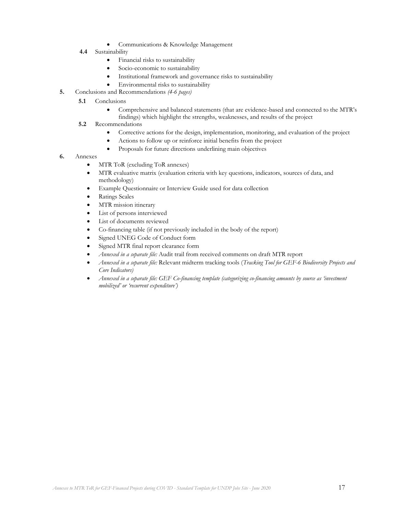- Communications & Knowledge Management
- **4.4** Sustainability
	- Financial risks to sustainability
	- Socio-economic to sustainability
	- Institutional framework and governance risks to sustainability
	- Environmental risks to sustainability
- **5.** Conclusions and Recommendations *(4-6 pages)*
	- **5.1**  Conclusions
		- Comprehensive and balanced statements (that are evidence-based and connected to the MTR's
		- findings) which highlight the strengths, weaknesses, and results of the project
	- **5.2** Recommendations
		- Corrective actions for the design, implementation, monitoring, and evaluation of the project
		- Actions to follow up or reinforce initial benefits from the project
		- Proposals for future directions underlining main objectives
- **6.** Annexes
	- MTR ToR (excluding ToR annexes)
	- MTR evaluative matrix (evaluation criteria with key questions, indicators, sources of data, and methodology)
	- Example Questionnaire or Interview Guide used for data collection
	- Ratings Scales
	- MTR mission itinerary
	- List of persons interviewed
	- List of documents reviewed
	- Co-financing table (if not previously included in the body of the report)
	- Signed UNEG Code of Conduct form
	- Signed MTR final report clearance form
	- *Annexed in a separate file:* Audit trail from received comments on draft MTR report
	- *Annexed in a separate file:* Relevant midterm tracking tools (*Tracking Tool for GEF-6 Biodiversity Projects and Core Indicators)*
	- *Annexed in a separate file: GEF Co-financing template (categorizing co-financing amounts by source as 'investment mobilized' or 'recurrent expenditure')*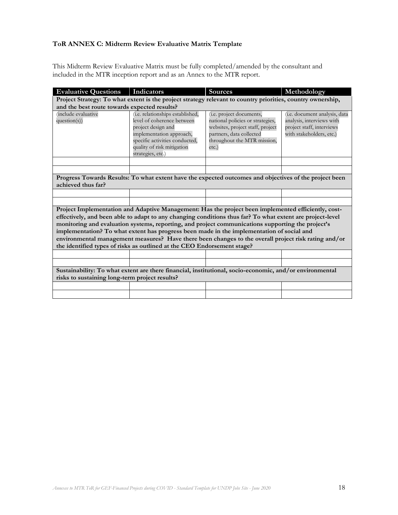## **ToR ANNEX C: Midterm Review Evaluative Matrix Template**

This Midterm Review Evaluative Matrix must be fully completed/amended by the consultant and included in the MTR inception report and as an Annex to the MTR report.

| <b>Evaluative Questions</b>                                                                                                                                                                                                                                                                                                                                                                                                                                                                                                                                                                           | Indicators                                                                                                                                                                                            | <b>Sources</b>                                                                                                                                                          | Methodology                                                                                                                 |  |
|-------------------------------------------------------------------------------------------------------------------------------------------------------------------------------------------------------------------------------------------------------------------------------------------------------------------------------------------------------------------------------------------------------------------------------------------------------------------------------------------------------------------------------------------------------------------------------------------------------|-------------------------------------------------------------------------------------------------------------------------------------------------------------------------------------------------------|-------------------------------------------------------------------------------------------------------------------------------------------------------------------------|-----------------------------------------------------------------------------------------------------------------------------|--|
| Project Strategy: To what extent is the project strategy relevant to country priorities, country ownership,                                                                                                                                                                                                                                                                                                                                                                                                                                                                                           |                                                                                                                                                                                                       |                                                                                                                                                                         |                                                                                                                             |  |
| and the best route towards expected results?                                                                                                                                                                                                                                                                                                                                                                                                                                                                                                                                                          |                                                                                                                                                                                                       |                                                                                                                                                                         |                                                                                                                             |  |
| include evaluative<br>$question(s)$ )                                                                                                                                                                                                                                                                                                                                                                                                                                                                                                                                                                 | (i.e. relationships established,<br>level of coherence between<br>project design and<br>implementation approach,<br>specific activities conducted,<br>quality of risk mitigation<br>strategies, etc.) | (i.e. project documents,<br>national policies or strategies,<br>websites, project staff, project<br>partners, data collected<br>throughout the MTR mission,<br>$etc.$ ) | ( <i>i.e.</i> document analysis, data<br>analysis, interviews with<br>project staff, interviews<br>with stakeholders, etc.) |  |
|                                                                                                                                                                                                                                                                                                                                                                                                                                                                                                                                                                                                       |                                                                                                                                                                                                       |                                                                                                                                                                         |                                                                                                                             |  |
|                                                                                                                                                                                                                                                                                                                                                                                                                                                                                                                                                                                                       |                                                                                                                                                                                                       |                                                                                                                                                                         |                                                                                                                             |  |
| Progress Towards Results: To what extent have the expected outcomes and objectives of the project been<br>achieved thus far?                                                                                                                                                                                                                                                                                                                                                                                                                                                                          |                                                                                                                                                                                                       |                                                                                                                                                                         |                                                                                                                             |  |
|                                                                                                                                                                                                                                                                                                                                                                                                                                                                                                                                                                                                       |                                                                                                                                                                                                       |                                                                                                                                                                         |                                                                                                                             |  |
|                                                                                                                                                                                                                                                                                                                                                                                                                                                                                                                                                                                                       |                                                                                                                                                                                                       |                                                                                                                                                                         |                                                                                                                             |  |
| Project Implementation and Adaptive Management: Has the project been implemented efficiently, cost-<br>effectively, and been able to adapt to any changing conditions thus far? To what extent are project-level<br>monitoring and evaluation systems, reporting, and project communications supporting the project's<br>implementation? To what extent has progress been made in the implementation of social and<br>environmental management measures? Have there been changes to the overall project risk rating and/or<br>the identified types of risks as outlined at the CEO Endorsement stage? |                                                                                                                                                                                                       |                                                                                                                                                                         |                                                                                                                             |  |
|                                                                                                                                                                                                                                                                                                                                                                                                                                                                                                                                                                                                       |                                                                                                                                                                                                       |                                                                                                                                                                         |                                                                                                                             |  |
|                                                                                                                                                                                                                                                                                                                                                                                                                                                                                                                                                                                                       |                                                                                                                                                                                                       |                                                                                                                                                                         |                                                                                                                             |  |
| Sustainability: To what extent are there financial, institutional, socio-economic, and/or environmental<br>risks to sustaining long-term project results?                                                                                                                                                                                                                                                                                                                                                                                                                                             |                                                                                                                                                                                                       |                                                                                                                                                                         |                                                                                                                             |  |
|                                                                                                                                                                                                                                                                                                                                                                                                                                                                                                                                                                                                       |                                                                                                                                                                                                       |                                                                                                                                                                         |                                                                                                                             |  |
|                                                                                                                                                                                                                                                                                                                                                                                                                                                                                                                                                                                                       |                                                                                                                                                                                                       |                                                                                                                                                                         |                                                                                                                             |  |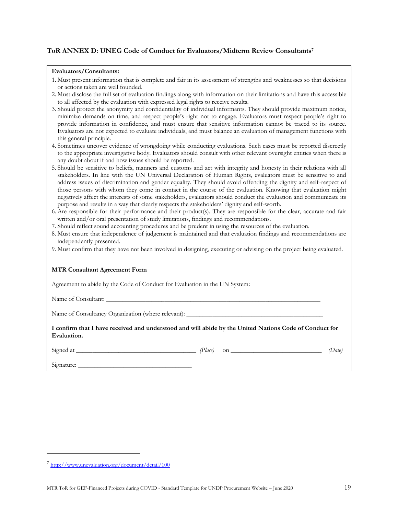#### **ToR ANNEX D: UNEG Code of Conduct for Evaluators/Midterm Review Consultants<sup>7</sup>**

#### **Evaluators/Consultants:**

- 1. Must present information that is complete and fair in its assessment of strengths and weaknesses so that decisions or actions taken are well founded.
- 2. Must disclose the full set of evaluation findings along with information on their limitations and have this accessible to all affected by the evaluation with expressed legal rights to receive results.
- 3. Should protect the anonymity and confidentiality of individual informants. They should provide maximum notice, minimize demands on time, and respect people's right not to engage. Evaluators must respect people's right to provide information in confidence, and must ensure that sensitive information cannot be traced to its source. Evaluators are not expected to evaluate individuals, and must balance an evaluation of management functions with this general principle.
- 4. Sometimes uncover evidence of wrongdoing while conducting evaluations. Such cases must be reported discreetly to the appropriate investigative body. Evaluators should consult with other relevant oversight entities when there is any doubt about if and how issues should be reported.
- 5. Should be sensitive to beliefs, manners and customs and act with integrity and honesty in their relations with all stakeholders. In line with the UN Universal Declaration of Human Rights, evaluators must be sensitive to and address issues of discrimination and gender equality. They should avoid offending the dignity and self-respect of those persons with whom they come in contact in the course of the evaluation. Knowing that evaluation might negatively affect the interests of some stakeholders, evaluators should conduct the evaluation and communicate its purpose and results in a way that clearly respects the stakeholders' dignity and self-worth.
- 6. Are responsible for their performance and their product(s). They are responsible for the clear, accurate and fair written and/or oral presentation of study limitations, findings and recommendations.
- 7. Should reflect sound accounting procedures and be prudent in using the resources of the evaluation.
- 8. Must ensure that independence of judgement is maintained and that evaluation findings and recommendations are independently presented.
- 9. Must confirm that they have not been involved in designing, executing or advising on the project being evaluated.

#### **MTR Consultant Agreement Form**

Agreement to abide by the Code of Conduct for Evaluation in the UN System:

Name of Consultant:

Name of Consultancy Organization (where relevant):

**I confirm that I have received and understood and will abide by the United Nations Code of Conduct for Evaluation.** 

 $Signed at$   $(Place)$  on  $(Date)$ 

Signature:

<sup>7</sup> <http://www.unevaluation.org/document/detail/100>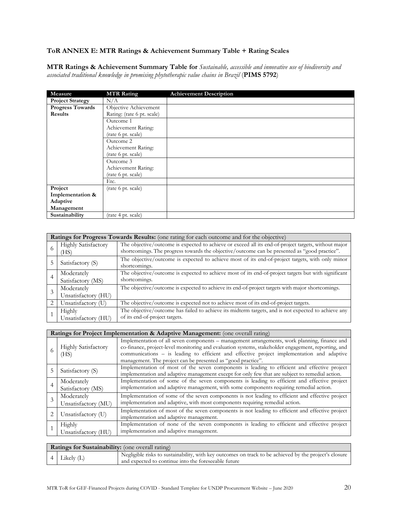## **ToR ANNEX E: MTR Ratings & Achievement Summary Table + Rating Scales**

**MTR Ratings & Achievement Summary Table for** *Sustainable, accessible and innovative use of biodiversity and associated traditional knowledge in promising phytotherapic value chains in Brazil* (**PIMS 5792**)

| Measure                 | <b>MTR Rating</b>          | <b>Achievement Description</b> |
|-------------------------|----------------------------|--------------------------------|
| <b>Project Strategy</b> | N/A                        |                                |
| <b>Progress Towards</b> | Objective Achievement      |                                |
| <b>Results</b>          | Rating: (rate 6 pt. scale) |                                |
|                         | Outcome 1                  |                                |
|                         | Achievement Rating:        |                                |
|                         | (rate 6 pt. scale)         |                                |
|                         | Outcome 2                  |                                |
|                         | Achievement Rating:        |                                |
|                         | (rate 6 pt. scale)         |                                |
|                         | Outcome 3                  |                                |
|                         | Achievement Rating:        |                                |
|                         | (rate 6 pt. scale)         |                                |
|                         | Etc.                       |                                |
| Project                 | (rate 6 pt. scale)         |                                |
| Implementation &        |                            |                                |
| Adaptive                |                            |                                |
| Management              |                            |                                |
| Sustainability          | (rate 4 pt. scale)         |                                |

|   | Ratings for Progress Towards Results: (one rating for each outcome and for the objective) |                                                                                                                                                                                                       |  |  |
|---|-------------------------------------------------------------------------------------------|-------------------------------------------------------------------------------------------------------------------------------------------------------------------------------------------------------|--|--|
| 6 | <b>Highly Satisfactory</b><br>(HS)                                                        | The objective/outcome is expected to achieve or exceed all its end-of-project targets, without major<br>shortcomings. The progress towards the objective/outcome can be presented as "good practice". |  |  |
|   | Satisfactory (S)                                                                          | The objective/outcome is expected to achieve most of its end-of-project targets, with only minor<br>shortcomings.                                                                                     |  |  |
| 4 | Moderately<br>Satisfactory (MS)                                                           | The objective/outcome is expected to achieve most of its end-of-project targets but with significant<br>shortcomings.                                                                                 |  |  |
|   | Moderately<br>Unsatisfactory (HU)                                                         | The objective/outcome is expected to achieve its end-of-project targets with major shortcomings.                                                                                                      |  |  |
|   | Unsatisfactory (U)                                                                        | The objective/outcome is expected not to achieve most of its end-of-project targets.                                                                                                                  |  |  |
|   | Highly<br>Unsatisfactory (HU)                                                             | The objective/outcome has failed to achieve its midterm targets, and is not expected to achieve any<br>of its end-of-project targets.                                                                 |  |  |

| Ratings for Project Implementation & Adaptive Management: (one overall rating) |                                                                                                                                                                                                                                                                                                                                                                   |  |  |
|--------------------------------------------------------------------------------|-------------------------------------------------------------------------------------------------------------------------------------------------------------------------------------------------------------------------------------------------------------------------------------------------------------------------------------------------------------------|--|--|
| <b>Highly Satisfactory</b><br>(HS)                                             | Implementation of all seven components – management arrangements, work planning, finance and<br>co-finance, project-level monitoring and evaluation systems, stakeholder engagement, reporting, and<br>communications - is leading to efficient and effective project implementation and adaptive<br>management. The project can be presented as "good practice". |  |  |
| Satisfactory (S)                                                               | Implementation of most of the seven components is leading to efficient and effective project<br>implementation and adaptive management except for only few that are subject to remedial action.                                                                                                                                                                   |  |  |
| Moderately<br>Satisfactory (MS)                                                | Implementation of some of the seven components is leading to efficient and effective project<br>implementation and adaptive management, with some components requiring remedial action.                                                                                                                                                                           |  |  |
| Moderately<br>Unsatisfactory (MU)                                              | Implementation of some of the seven components is not leading to efficient and effective project<br>implementation and adaptive, with most components requiring remedial action.                                                                                                                                                                                  |  |  |
| Unsatisfactory (U)                                                             | Implementation of most of the seven components is not leading to efficient and effective project<br>implementation and adaptive management.                                                                                                                                                                                                                       |  |  |
| Highly<br>Unsatisfactory (HU)                                                  | Implementation of none of the seven components is leading to efficient and effective project<br>implementation and adaptive management.                                                                                                                                                                                                                           |  |  |

| Ratings for Sustainability: (one overall rating) |                                                                                                                                                                |  |
|--------------------------------------------------|----------------------------------------------------------------------------------------------------------------------------------------------------------------|--|
| $4$ Likely (L)                                   | Negligible risks to sustainability, with key outcomes on track to be achieved by the project's closure<br>and expected to continue into the foreseeable future |  |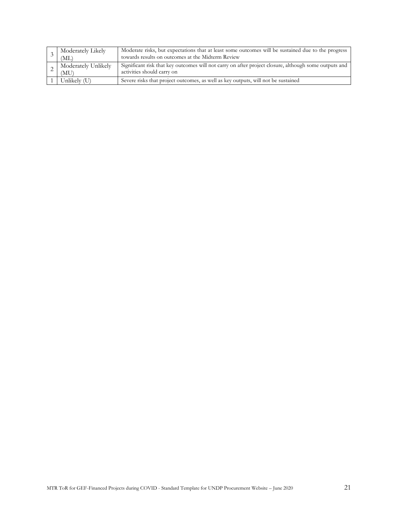| Moderately Likely<br>(ML)   | Moderate risks, but expectations that at least some outcomes will be sustained due to the progress<br>towards results on outcomes at the Midterm Review |
|-----------------------------|---------------------------------------------------------------------------------------------------------------------------------------------------------|
| Moderately Unlikely<br>(MU) | Significant risk that key outcomes will not carry on after project closure, although some outputs and<br>activities should carry on                     |
| Unlikely (U)                | Severe risks that project outcomes, as well as key outputs, will not be sustained                                                                       |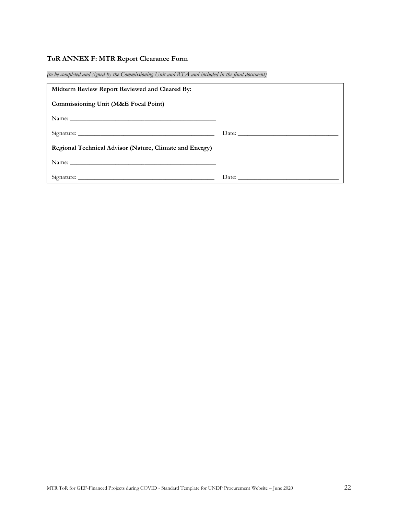## **ToR ANNEX F: MTR Report Clearance Form**

*(to be completed and signed by the Commissioning Unit and RTA and included in the final document)*

| Midterm Review Report Reviewed and Cleared By:          |       |
|---------------------------------------------------------|-------|
| <b>Commissioning Unit (M&amp;E Focal Point)</b>         |       |
|                                                         |       |
|                                                         | Date: |
| Regional Technical Advisor (Nature, Climate and Energy) |       |
|                                                         |       |
|                                                         |       |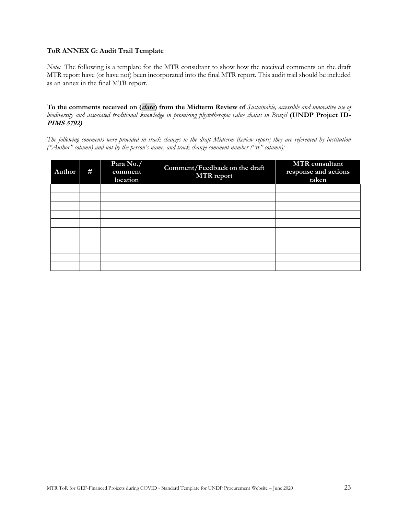#### **ToR ANNEX G: Audit Trail Template**

*Note:* The following is a template for the MTR consultant to show how the received comments on the draft MTR report have (or have not) been incorporated into the final MTR report. This audit trail should be included as an annex in the final MTR report.

**To the comments received on (date) from the Midterm Review of** *Sustainable, accessible and innovative use of biodiversity and associated traditional knowledge in promising phytotherapic value chains in Brazil* **(UNDP Project ID-PIMS 5792)**

*The following comments were provided in track changes to the draft Midterm Review report; they are referenced by institution ("Author" column) and not by the person's name, and track change comment number ("#" column):*

| Author | # | Para No./<br>comment<br>location | Comment/Feedback on the draft<br><b>MTR</b> report | <b>MTR</b> consultant<br>response and actions<br>taken |
|--------|---|----------------------------------|----------------------------------------------------|--------------------------------------------------------|
|        |   |                                  |                                                    |                                                        |
|        |   |                                  |                                                    |                                                        |
|        |   |                                  |                                                    |                                                        |
|        |   |                                  |                                                    |                                                        |
|        |   |                                  |                                                    |                                                        |
|        |   |                                  |                                                    |                                                        |
|        |   |                                  |                                                    |                                                        |
|        |   |                                  |                                                    |                                                        |
|        |   |                                  |                                                    |                                                        |
|        |   |                                  |                                                    |                                                        |